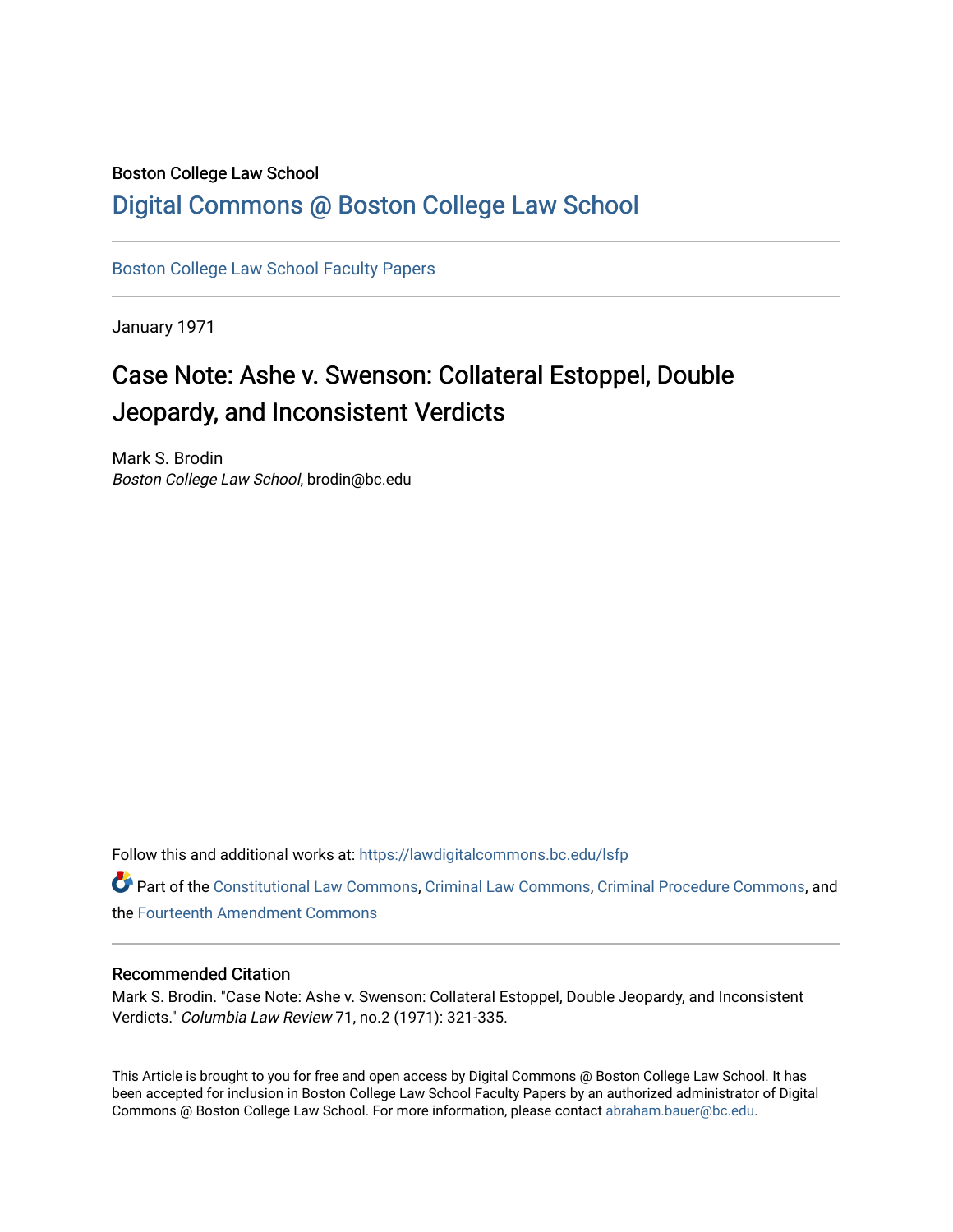#### Boston College Law School

## [Digital Commons @ Boston College Law School](https://lawdigitalcommons.bc.edu/)

[Boston College Law School Faculty Papers](https://lawdigitalcommons.bc.edu/lsfp) 

January 1971

# Case Note: Ashe v. Swenson: Collateral Estoppel, Double Jeopardy, and Inconsistent Verdicts

Mark S. Brodin Boston College Law School, brodin@bc.edu

Follow this and additional works at: [https://lawdigitalcommons.bc.edu/lsfp](https://lawdigitalcommons.bc.edu/lsfp?utm_source=lawdigitalcommons.bc.edu%2Flsfp%2F630&utm_medium=PDF&utm_campaign=PDFCoverPages) 

Part of the [Constitutional Law Commons,](http://network.bepress.com/hgg/discipline/589?utm_source=lawdigitalcommons.bc.edu%2Flsfp%2F630&utm_medium=PDF&utm_campaign=PDFCoverPages) [Criminal Law Commons,](http://network.bepress.com/hgg/discipline/912?utm_source=lawdigitalcommons.bc.edu%2Flsfp%2F630&utm_medium=PDF&utm_campaign=PDFCoverPages) [Criminal Procedure Commons](http://network.bepress.com/hgg/discipline/1073?utm_source=lawdigitalcommons.bc.edu%2Flsfp%2F630&utm_medium=PDF&utm_campaign=PDFCoverPages), and the [Fourteenth Amendment Commons](http://network.bepress.com/hgg/discipline/1116?utm_source=lawdigitalcommons.bc.edu%2Flsfp%2F630&utm_medium=PDF&utm_campaign=PDFCoverPages) 

#### Recommended Citation

Mark S. Brodin. "Case Note: Ashe v. Swenson: Collateral Estoppel, Double Jeopardy, and Inconsistent Verdicts." Columbia Law Review 71, no.2 (1971): 321-335.

This Article is brought to you for free and open access by Digital Commons @ Boston College Law School. It has been accepted for inclusion in Boston College Law School Faculty Papers by an authorized administrator of Digital Commons @ Boston College Law School. For more information, please contact [abraham.bauer@bc.edu.](mailto:abraham.bauer@bc.edu)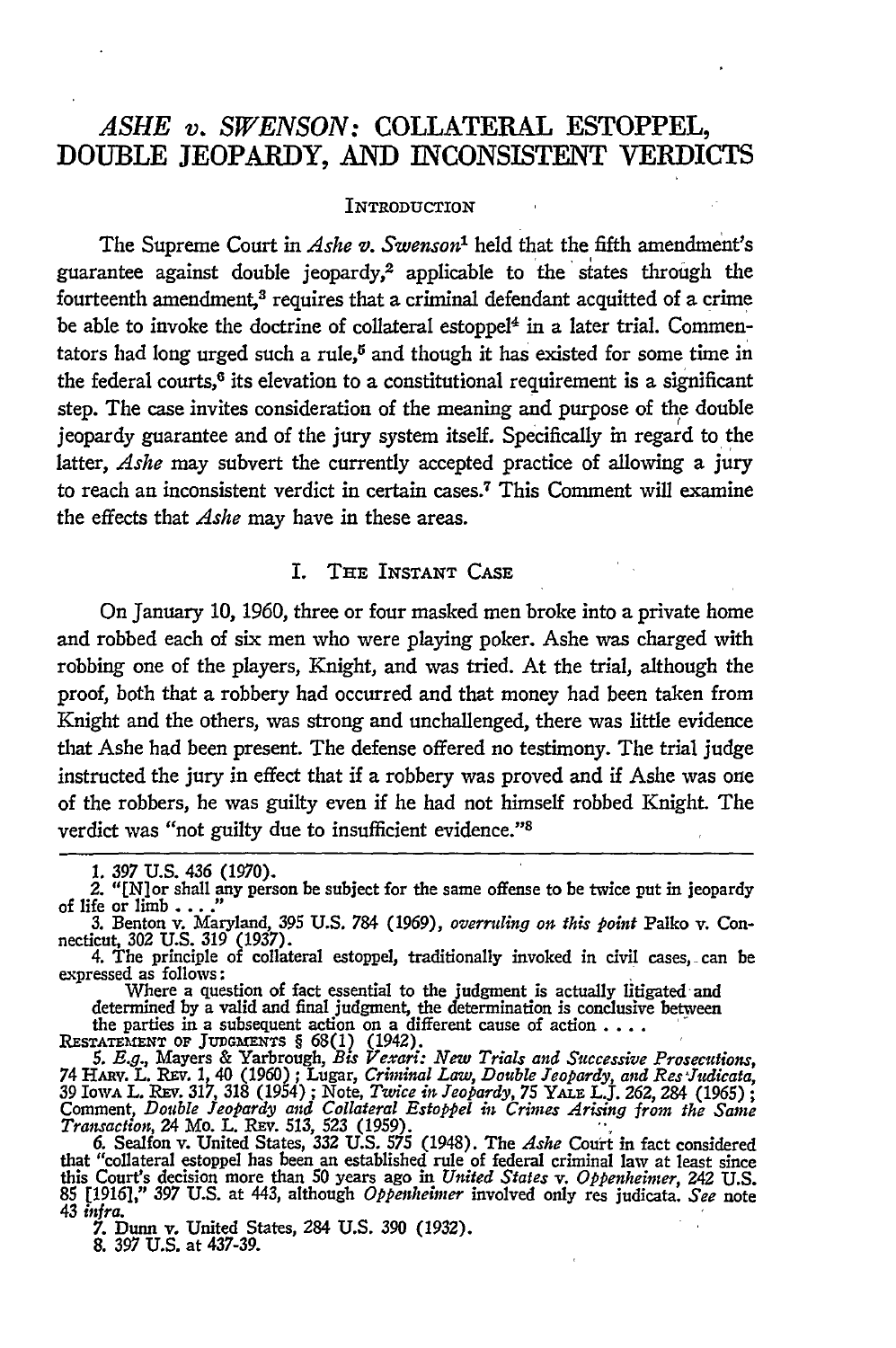### *ASHE v. SWENSON:* COLLATERAL **ESTOPPEL, DOUBLE** JEOPARDY, **AND INCONSISTENT** VERDICTS

#### **INTRODUCTION**

The Supreme Court in *Ashe v. Swenson1* held that the fifth amendment's guarantee against double jeopardy,<sup>2</sup> applicable to the states through the fourteenth amendment,<sup>3</sup> requires that a criminal defendant acquitted of a crime be able to invoke the doctrine of collateral estoppel<sup>4</sup> in a later trial. Commentators had long urged such a rule,<sup> $5$ </sup> and though it has existed for some time in the federal courts, $6$  its elevation to a constitutional requirement is a significant step. The case invites consideration of the meaning and purpose of the double jeopardy guarantee and of the jury system itself. Specifically in regard to the latter, *Ashe* may subvert the currently accepted practice of allowing a jury to reach an inconsistent verdict in certain cases.7 This Comment will examine the effects that *Ashe* may have in these areas.

#### I. THE **INSTANT CASE**

On January 10, 1960, three or four masked men broke into a private home and robbed each of six men who were playing poker. Ashe was charged with robbing one of the players, Knight, and was tried. At the trial, although the proof, both that a robbery had occurred and that money had been taken from Knight and the others, was strong and unchallenged, there was little evidence that Ashe had been present. The defense offered no testimony. The trial judge instructed the jury in effect that if a robbery was proved and if Ashe was one of the robbers, he was guilty even if he had not himself robbed Knight. The verdict was "not guilty due to insufficient evidence."<sup>8</sup>

Where a question of fact essential to the judgment is actually litigated and determined by a valid and final judgment, the determination is conclusive between the parties in a subsequent action on a different cause of action ....<br>RESTATEMENT OF JUDGMENTS § 68(1) (1942).<br>5. E.g., Mayers & Yarbrough, Bis Vexari: New Trials and Successive Prosecutions,

74 HARV. L. REV. 1, 40 (1960) ; Lugar, Criminal Law, Double Jeopardy, and Res Judicata,<br>39 Iowa L. REV. 317, 318 (1954) ; Note, Twice in Jeopardy, 75 YALE L.J. 262, 284 (1965) ; Comment, *Double Jeopardy and Collateral Estoppel it Crimes Arising from the Same Transaction,* **24 Mo. L.** REv. 513, **523** (1959). 6. Sealfon v. United States, **332** U.S. **575** (1948). The *Ashe* Court in fact considered

that "collateral estoppel has been an established rule of federal criminal law at least since this Court's decision more than 50 years ago in *United States v. Oppenheimer,* **242 U.S. 85 [1916]," 397 U.S.** at 443, although *Oppeheimer* involved only res judicata. *See* note *43 infra.*

*7.* Dunn v. United States, 284 **U.S. 390 (1932). 8.** *397* **U.S.** at **437-39.**

<sup>1. 397</sup> U.S. 436 (1970).<br>2. "[N]or shall any person be subject for the same offense to be twice put in jeopardy of life or limb .... **"** 3. Benton v. Maryland, 395 U.S. 784 (1969), *overruling on this point* Palko v. Con-

necticut, 302 U.S. **319** (1937). 4. The principle of collateral estoppel, traditionally invoked in civil cases, can be

expressed as follows: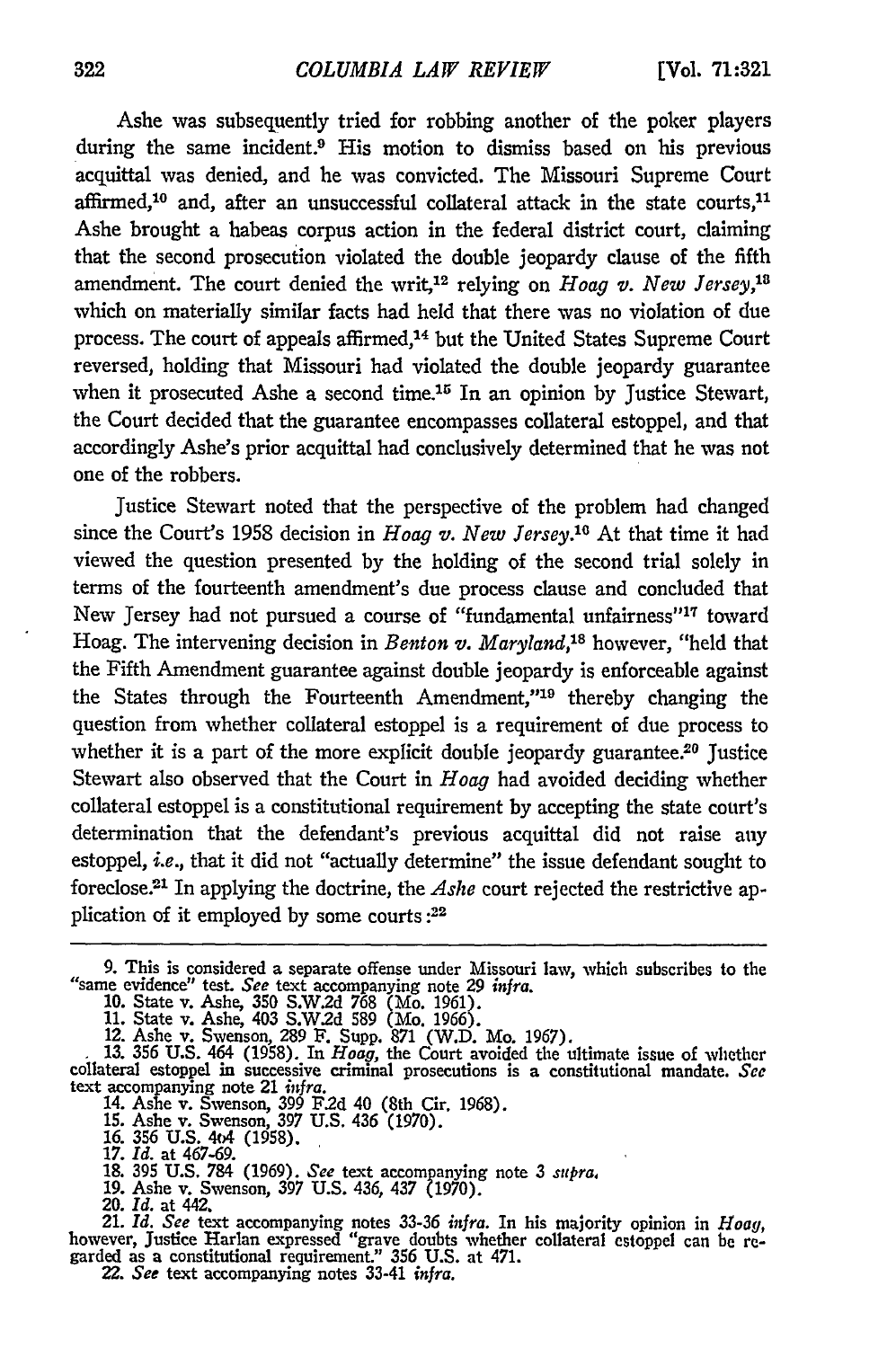Ashe was subsequently tried for robbing another of the poker players during the same incident.<sup>9</sup> His motion to dismiss based on his previous acquittal was denied, and he was convicted. The Missouri Supreme Court affirmed,<sup>10</sup> and, after an unsuccessful collateral attack in the state courts,<sup>11</sup> Ashe brought a habeas corpus action in the federal district court, claiming that the second prosecution violated the double jeopardy clause of the fifth amendment. The court denied the writ,<sup>12</sup> relying on *Hoag v. New Jersey*,<sup>13</sup> which on materially similar facts had held that there was no violation of due process. The court of appeals affirmed,<sup>14</sup> but the United States Supreme Court reversed, holding that Missouri had violated the double jeopardy guarantee when it prosecuted Ashe a second time.15 In an opinion **by** Justice Stewart, the Court decided that the guarantee encompasses collateral estoppel, and that accordingly Ashe's prior acquittal had conclusively determined that he was not one of the robbers.

Justice Stewart noted that the perspective of the problem had changed since the Court's 1958 decision in *Hoag v. New Jersey.'0* At that time it had viewed the question presented by the holding of the second trial solely in terms of the fourteenth amendment's due process clause and concluded that New Jersey had not pursued a course of "fundamental unfairness"17 toward Hoag. The intervening decision in *Benton v. Maryland,'8* however, "held that the Fifth Amendment guarantee against double jeopardy is enforceable against the States through the Fourteenth Amendment,"<sup>19</sup> thereby changing the question from whether collateral estoppel is a requirement of due process to whether it is a part of the more explicit double jeopardy guarantee.<sup>20</sup> Justice Stewart also observed that the Court in *Hoag* had avoided deciding whether collateral estoppel is a constitutional requirement by accepting the state court's determination that the defendant's previous acquittal did not raise any estoppel, i.e., that it did not "actually determine" the issue defendant sought to foreclose.<sup>21</sup> In applying the doctrine, the *Ashe* court rejected the restrictive application of it employed **by** some courts :22

- 
- 18. **395** U.S. 784 **(1969).** *See* text accompanying note **3** *supra,* **19.** Ashe v. Swenson, 397 U.S. 436, 437 (1970).
- 
- 

20. *Id.* at 442,<br>21. *Id.* See text accompanying notes 33-36 *infra*. In his majority opinion in *Hoay*,<br>however, Justice Harlan expressed "grave doubts whether collateral estoppel can be re-<br>garded as a constitutional re

*22. See* text accompanying notes 33-41 *infra.*

**<sup>9.</sup>** This is considered a separate offense under Missouri law, which subscribes to the "same evidence" test. *See* text accompanying note 29 *infra.* **10.** State v. Ashe, 350 S.W.2d 768 (Mo. 1961). **11.** State v. Ashe, 403 S.W.2d 589 (Mo. 1966).

<sup>12.</sup> Ashe v. Swenson, 289 F. Supp. 871 (W.D. Mo. 1967).<br>12. Ashe v. Swenson, 289 F. Supp. 871 (W.D. Mo. 1967).<br>13. 356 U.S. 464 (1958). In *Hoag*, the Court avoided the ultimate issue of whether

collateral estoppel in successive criminal prosecutions is a constitutional mandate. *See* text accompanying note 21 *infra.* **14.** Ashe v. Swenson, 399 F.2d 40 (8th Cir. 1968)<br>15. Ashe v. Swenson, 397 U.S. 436 (1970). <br>16. 356 U.S. 4t4 (1958). 17. *Id.* at 467-69.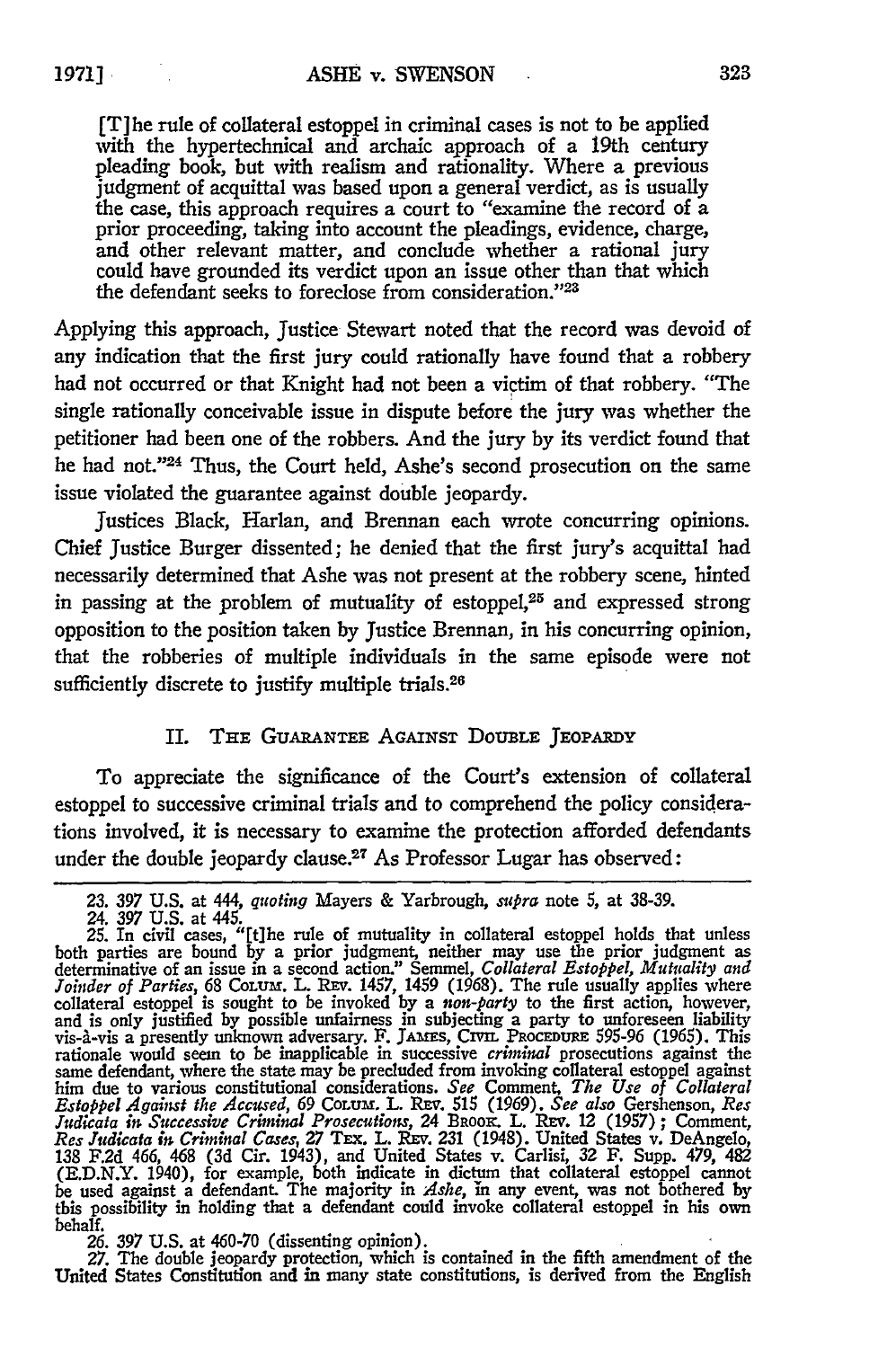[T] he rule of collateral estoppel in criminal cases is not to be applied with the hypertechnical and archaic approach of a 19th century pleading book, but with realism and rationality. Where a previous judgment of acquittal was based upon a general verdict, as is usually the case, this approach requires a court to "examine the record of a prior proceeding, taking into account the pleadings, evidence, charge, and other relevant matter, and conclude whether a rational jury could have grounded its verdict upon an issue other than that which

the defendant seeks to foreclose from consideration."<sup>23</sup>

Applying this approach, Justice Stewart noted that the record was devoid of any indication that the first jury could rationally have found that a robbery had not occurred or that Knight had not been a victim of that robbery. "The single rationally conceivable issue in dispute before the jury was whether the petitioner had been one of the robbers. And the jury by its verdict found that he had not."<sup>24</sup> Thus, the Court held, Ashe's second prosecution on the same issue violated the guarantee against double jeopardy.

Justices Black, Harlan, and Brennan each wrote concurring opinions. Chief Justice Burger dissented; he denied that the first jury's acquittal had necessarily determined that Ashe was not present at the robbery scene, hinted in passing at the problem of mutuality of estoppel, $25$  and expressed strong opposition to the position taken by Justice Brennan, in his concurring opinion, that the robberies of multiple individuals in the same episode were not sufficiently discrete to justify multiple trials.<sup>26</sup>

#### II. THE GUARANTEE AGAINST DOUBLE JEOPARDY

To appreciate the significance of the Court's extension of collateral estoppel to successive criminal trials and to comprehend the policy considerations involved, it is necessary to examine the protection afforded defendants under the double jeopardy clause.<sup>27</sup> As Professor Lugar has observed:

*26.* **397 U.S.** at 460-70 (dissenting opinion). *27.* The double jeopardy protection, which is contained in the fifth amendment of the United States Constitution and in many state constitutions, is derived from the English

**<sup>23. 397</sup> U.S.** at 444, *quoting* Mayers & Yarbrough, *supra* note 5, at **38-39.**

<sup>24.</sup> **397** U.S. at 445. **25.** In civil cases, "[t]he rule of mutuality in collateral estoppel holds that unless both parties are bound by a prior judgment, neither may use the prior judgment as determinative of an issue in a second action." Semmel, *Collateral Estoppel, Mutuality and Joinder of Parties,* **68 CoLum.** L. REv. 1457, 1459 (1968). The rule usually applies where collateral estoppel is sought to be invoked by a *non-party* to the first action, however, and is only justified by possible unfairness in subjecting a party to unforeseen liability vis-à-vis a presently unknown adversary. rationale would seem to be inapplicable in successive *criminal* prosecutions against the same defendant, where the state may be precluded from invoking collateral estoppel against him due to various constitutional considerations. *See* Comment, *The Use of Collateral EstoppelAgainst the Accused,* **69 COLUm.** L. REv. 515 (1969). *See also* Gershenson, *Res Judicata in Successive Criminal Prosecutions,* 24 **BRooK.** L. REv. 12 (1957) **;** Comment, Res Judicata in Criminal Cases, 27 TEX. L. REV. 231 (1948). United States v. DeAngelo.<br>138 F.2d 466, 468 (3d Cir. 1943), and United States v. Carlisi, 32 F. Supp. 479, 482<br>(E.D.N.Y. 1940), for example, both indicate in dic be used against a defendant. The majority in *Ashe,* In any event, was not bothered **by** this possibility in holding that a defendant could invoke collateral estoppel in his own behalf.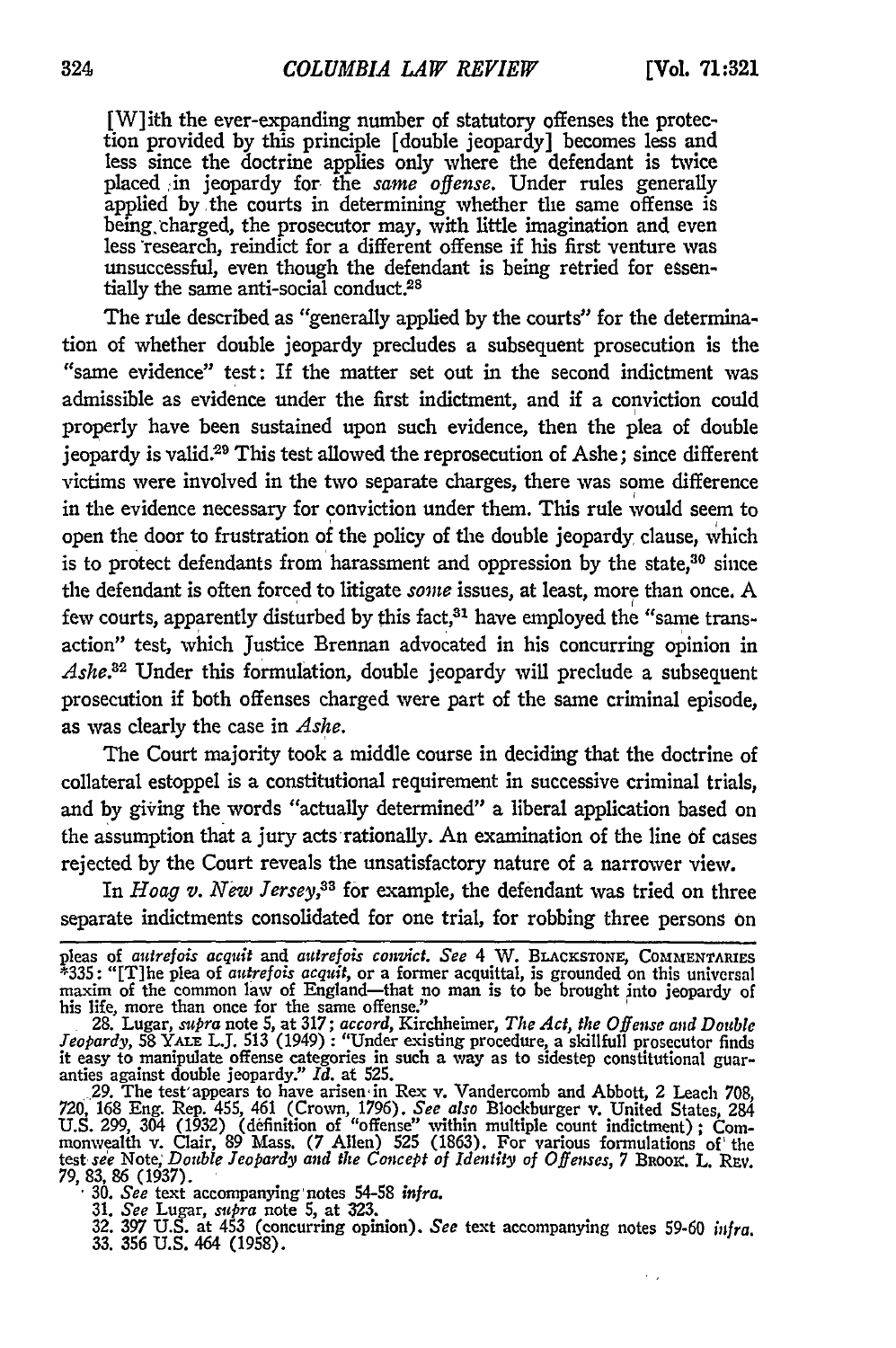[W]ith the ever-expanding number of statutory offenses the protec- tion provided by this principle [double jeopardy] becomes less and less since the doctrine applies only where the defendant is twice placed in jeopardy for the *same offense.* Under rules generally applied by the courts in determining whether the same offense is being charged, the prosecutor may, with little imagination and even less research, reindict for a different offense if his first venture was unsuccessful, even though the defendant is being retried for essentially the same anti-social conduct.28

The rule described as "generally applied by the courts" for the determination of whether double jeopardy precludes a subsequent prosecution is the "same evidence" test: If the matter set out in the second indictment was admissible as evidence under the first indictment, and if a conviction could properly have been sustained upon such evidence, then the plea of double jeopardy is valid.<sup>29</sup> This test allowed the reprosecution of Ashe; since different victims were involved in the two separate charges, there was some difference in the evidence necessary for conviction under them. This rule would seem to open the door to frustration of the policy of the double jeopardy clause, which is to protect defendants from harassment and oppression by the state,<sup>30</sup> since the defendant is often forced to litigate *some* issues, at least, more than once. A few courts, apparently disturbed by this fact, $31$  have employed the "same transaction" test, which Justice Brennan advocated in his concurring opinion in *Ashe.32* Under this formulation, double jeopardy will preclude a subsequent prosecution if both offenses charged were part of the same criminal episode, as was clearly the case in *Ashe.*

The Court majority took a middle course in deciding that the doctrine of collateral estoppel is a constitutional requirement in successive criminal trials, and by giving the words "actually determined" a liberal application based on the assumption that a jury acts rationally. An examination of the line of cases rejected by the Court reveals the unsatisfactory nature of a narrower view.

In *Hoag v. New Jersey*,<sup>33</sup> for example, the defendant was tried on three separate indictments consolidated for one trial, for robbing three persons on

 $\epsilon_{\rm{tot}}$ 

pleas of *autrefois acquit and autrefois convict. See* 4 W. BLACKSTONE, **COIMENTARIES \*335:** "[T]he plea of *autrefois acquit,* or a former acquittal, is grounded on this universal maxim of the common law of England-that no man is to be brought into jeopardy of

his life, more than once for the same offense."<br>28. Lugar, supra note 5, at 317; accord, Kirchheimer, The Act, the Offense and Double<br>Jeopardy, 58 YALE L.J. 513 (1949): "Under existing procedure, a skillfull prosecutor fin it easy to manipulate offense categories in such a way as to sidestep constitutional guar-

anties against double jeopardy." *Id.* at 525.<br>
29. The test appears to have arisen in Rex v. Vandercomb and Abbott, 2 Leach 708,<br>
720, 168 Eng. Rep. 455, 461 (Crown, 1796). *See also* Blockburger v. United States, 284<br>
U. **79, 83, 86 (1937). 30.** *See* text accompanying'notes 54-58 *infra.* **31.** *See* Lugar, *supra* note **5,** at **323.**

**<sup>32. 397</sup> U.S.** at 453 (concurring opinion). *See* text accompanying notes **59-60** *in fra.* **33.** 356 **U.S.** 464 **(1958).**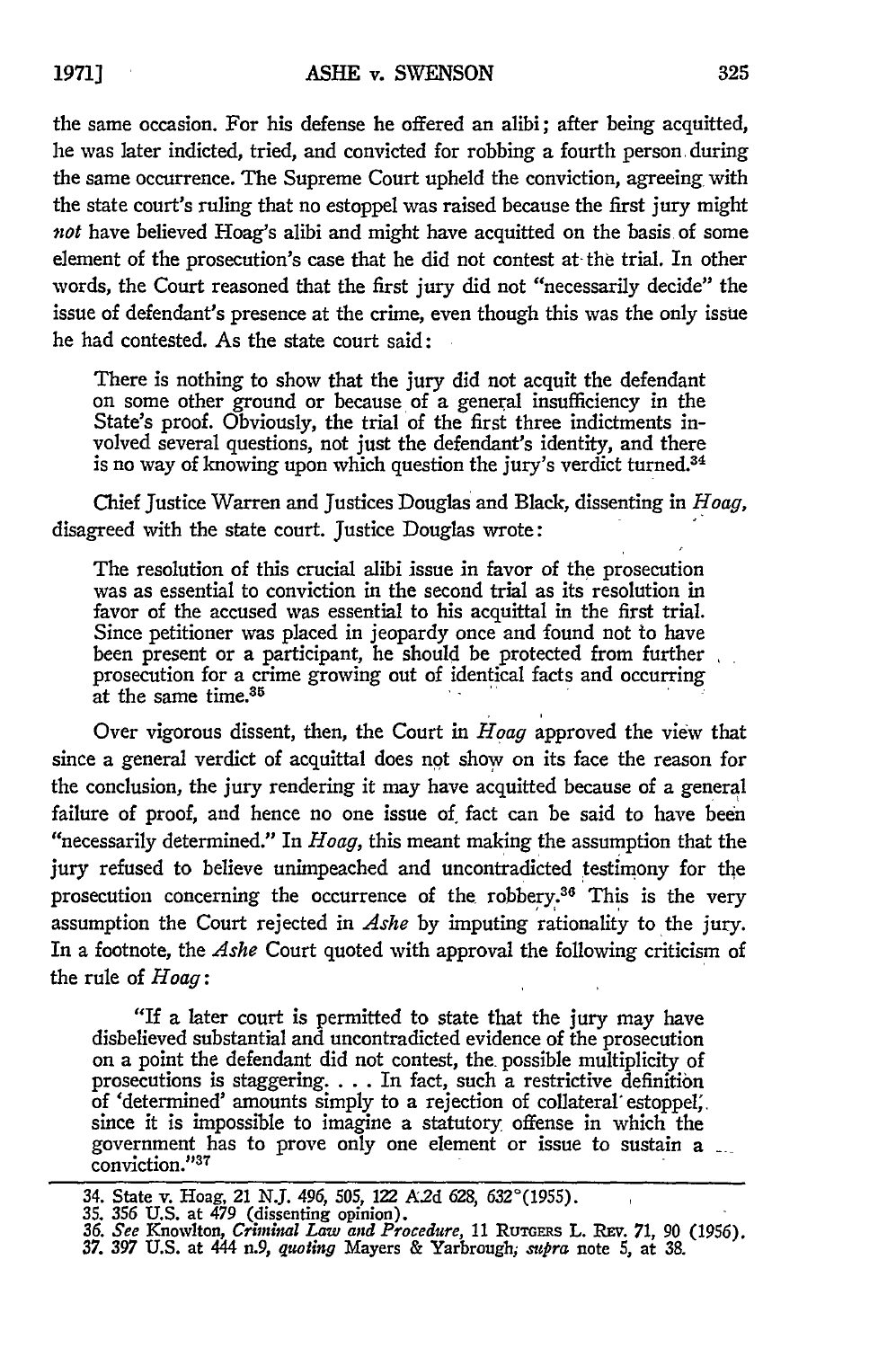the same occasion. For his defense he offered an alibi; after being acquitted, he was later indicted, tried, and convicted for robbing a fourth person during the same occurrence. The Supreme Court upheld the conviction, agreeing with the state court's ruling that no estoppel was raised because the first jury might *not* have believed Hoag's alibi and might have acquitted on the basis of some element of the prosecution's case that he did not contest at- the trial. In other words, the Court reasoned that the first jury did not "necessarily decide" the issue of defendant's presence at the crime, even though this was the only issue he had contested. As the state court said:

There is nothing to show that the jury did not acquit the defendant on some other ground or because of a general insufficiency in the State's proof. Obviously, the trial of the first three indictments involved several questions, not just the defendant's identity, and there is no way of knowing upon which question the jury's verdict turned.<sup>34</sup>

Chief Justice Warren and Justices Douglas and Black, dissenting in *Hoag,* disagreed with the state court. Justice Douglas wrote:

The resolution of this crucial alibi issue in favor of the prosecution was as essential to conviction in the second trial as its resolution in favor of the accused was essential to his acquittal in the first trial. Since petitioner was placed in jeopardy once and found not to have been present or a participant, he should be protected from further prosecution for a crime growing out of identical facts and occurring at the same time.<sup>35</sup>

Over vigorous dissent, then, the Court in *Hoag* approved the view that since a general verdict of acquittal does not show on its face the reason for the conclusion, the jury rendering it may have acquitted because of a general failure of proof, and hence no one issue of fact can be said to have been "necessarily determined." In *Hoag,* this meant making the assumption that the jury refused to believe unimpeached and uncontradicted testimony for the prosecution concerning the occurrence of the robbery.<sup>36</sup> This is the very assumption the Court rejected in *Ashe* by imputing rationality to the jury. In a footnote, the *Ashe* Court quoted with approval the following criticism of the rule of *Hoag:*

"If a later court is permitted to state that the jury may have disbelieved substantial and uncontradicted evidence of the prosecution on a point the defendant did not contest, the. possible multiplicity of prosecutions is staggering.... In fact, such a restrictive definition of 'determined' amounts simply to a rejection of collateral estoppel; since it is impossible to imagine a statutory, offense in which the government has to prove only one element or issue to sustain a 3 7 conviction."37

<sup>34.</sup> State v. Hoag, 21 **N.J.** 496, 505, 122 A.2d *628,* 632'(1955).

<sup>35. 356</sup> U.S. at 479 (dissenting opinion).<br>36. *See Knowlton, Criminal Law and Procedure*, 11 RUTGERS L. REV. 71, 90 (1956)<br>37. 397 U.S. at 444 n.9, quoting Mayers & Yarbrough; *supra* note 5, at 38.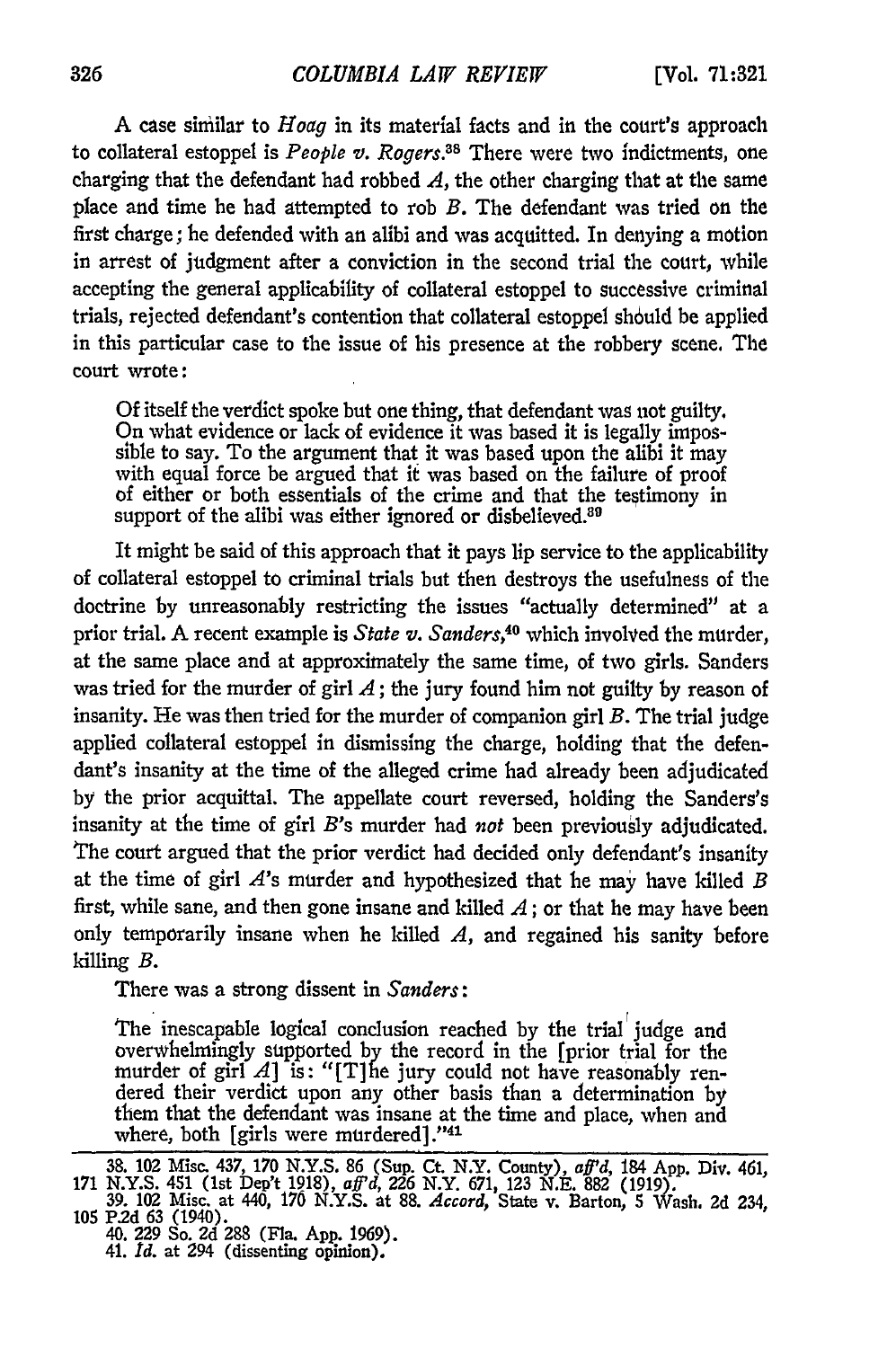A case similar to Hoag in its material facts and in the court's approach to collateral estoppel is *People v. Rogers.38* There were two indictments, one charging that the defendant had robbed *A,* the other charging that at the same place and time he had attempted to rob *B.* The defendant was tried on the first charge; he defended with an alibi and was acquitted. In denying a motion in arrest of judgment after a conviction in the second trial the court, while accepting the general applicability of collateral estoppel to successive criminal trials, rejected defendant's contention that collateral estoppel should be applied in this particular case to the issue of his presence at the robbery scene. The court wrote:

**Of** itself the verdict spoke but one thing, that defendant was not guilty. On what evidence or lack of evidence it was based it is legally impossible to say. To the argument that it was based upon the alibi it may with equal force be argued that if was based on the failure of proof of either or both essentials of the crime and that the testimony in support of the alibi was either ignored or disbelieved.<sup>39</sup>

It might be said of this approach that it pays lip service to the applicability of collateral estoppel to criminal trials but then destroys the usefulness of the doctrine by unreasonably restricting the issues "actually determined" at a prior trial. A recent example is *State v. Sanders*,<sup>40</sup> which involved the murder, at the same place and at approximately the same time, of two girls. Sanders was tried for the murder of girl *A;* the jury found him not guilty by reason of insanity. He was then tried for the murder of companion girl *B.* The trial judge applied collateral estoppel in dismissing the charge, holding that the defendant's insanity at the time of the alleged crime had already been adjudicated by the prior acquittal. The appellate court reversed, holding the Sanders's insanity at the time of girl B's murder had *not* been previously adjudicated. The court argued that the prior verdict had decided only defendant's insanity at the time of girl *A's* murder and hypothesized that he may have killed *B* first, while sane, and then gone insane and killed *A;* or that he may have been only temporarily insane when he killed *A,* and regained his sanity before killing *B.*

There was a strong dissent in *Sanders:*

The inescapable logical conclusion reached by the trial judge and overwhelmingly supported by the record in the [prior trial for the murder of girl *A*] is: "[T]he jury could not have reasonably rendered their verdict upon any other basis than a determination by them that the defendant was insane at the time and place, when and where, both [girls were murdered]."<sup>41</sup>

<sup>38, 102</sup> Misc. 437, 170 N.Y.S. 86 (Sup. Ct. N.Y. County), aff'd, 184 App. Div. 461, 171 N.Y.S. 451 (1st Dep't 1918), aff'd, 226 N.Y. 671, 123 N.E. 882 (1919). 39. 102 Misc. at 440, 170 N.Y.S. at 88. Accord, State v. Barton,

<sup>41.</sup> *Id.* at 294 (dissenting **opinion).**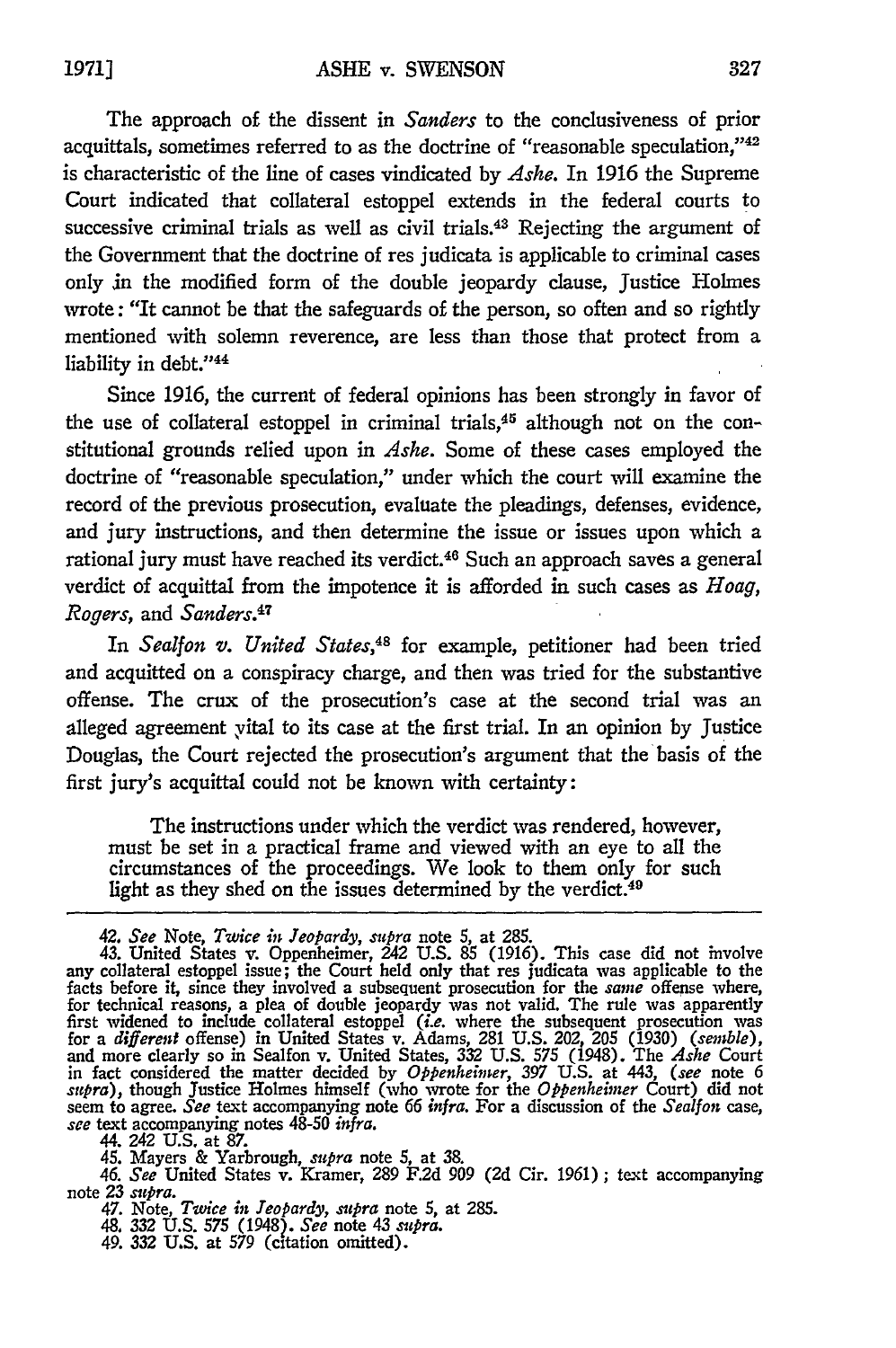The approach of the dissent in *Sanders* to the conclusiveness of prior acquittals, sometimes referred to as the doctrine of "reasonable speculation,"42 is characteristic of the line of cases vindicated by *Ashe.* In 1916 the Supreme Court indicated that collateral estoppel extends in the federal courts to successive criminal trials as well as civil trials.<sup>43</sup> Rejecting the argument of the Government that the doctrine of res judicata is applicable to criminal cases only in the modified form of the double jeopardy clause, Justice Holmes wrote: "It cannot be that the safeguards of the person, so often and so rightly mentioned with solemn reverence, are less than those that protect from a liability in debt."<sup>44</sup>

Since 1916, the current of federal opinions has been strongly in favor of the use of collateral estoppel in criminal trials,<sup>45</sup> although not on the constitutional grounds relied upon in *Ashe.* Some of these cases employed the doctrine of "reasonable speculation," under which the court will examine the record of the previous prosecution, evaluate the pleadings, defenses, evidence, and jury instructions, and then determine the issue or issues upon which a rational jury must have reached its verdict. 46 Such an approach saves a general verdict of acquittal from the impotence it is afforded in such cases as *Hoag, Rogers,* and *Sanders.47*

In *Sealfon v. United States,48* for example, petitioner had been tried and acquitted on a conspiracy charge, and then was tried for the substantive offense. The crux of the prosecution's case at the second trial was an alleged agreement vital to its case at the first trial. In an opinion **by** Justice Douglas, the Court rejected the prosecution's argument that the'basis of the first jury's acquittal could not be known with certainty:

The instructions under which the verdict was rendered, however, must be set in a practical frame and viewed with an eye to all the circumstances of the proceedings. We look to them only for such light as they shed on the issues determined by the verdict.<sup>49</sup>

45. Mayers & Yarbrough, *supra* note **5,** at **38.** *46. See* United States v. Kramer, **289 F.2d 909** (2d Cir. 1961); text accompanying note **23** *supra.* 47. Note, *Twice in Jeopardy, supra* note 5, at **285.**

48. **332** U.S. 575 (1948 . *See* note 43 *supra.* 49. 332 **US.** at **579** (citation omitted).

*<sup>42.</sup> See* Note, *Twice it; Jeopardy, supra* note 5, at 285.

<sup>43.</sup> United States v. Oppenheimer, 242 U.S. 85 (1916). This case did not involve any collateral estoppel issue; the Court held only that res judicata was applicable to the facts before it, since they involved a subsequent prosecution for the *same* offense where, for technical reasons, a plea of double jeopardy was not valid. The rule was apparently first widened to include collateral estopp and more clearly so in Sealfon v. United States, 332 U.S. 575 (1948). The *Ashe* Court in fact considered the matter decided by *Oppenheimer,* **397** U.S. at 443, *(see* note 6 supra), though Justice Holmes himself (who wrote for the Oppenheimer Court) did not<br>seem to agree. See text accompanying note 66 infra. For a discussion of the Sealfon case<br>see text accompanying notes 48-50 infra.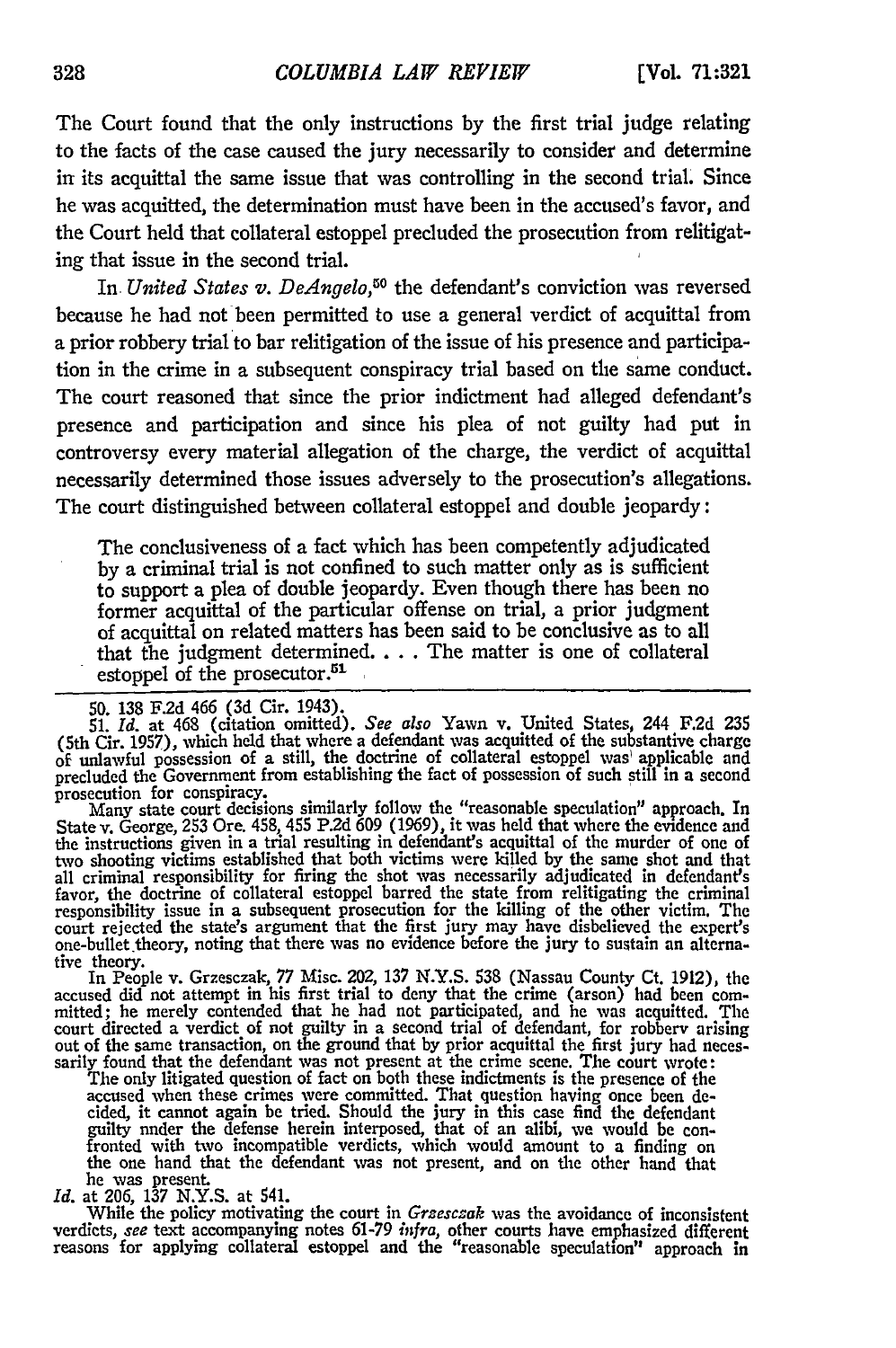The Court found that the only instructions **by** the first trial judge relating to the facts of the case caused the jury necessarily to consider and determine in its acquittal the same issue that was controlling in the second trial. Since he was acquitted, the determination must have been in the accused's favor, and the Court held that collateral estoppel precluded the prosecution from relitigating that issue in the second trial.

In *United States v. DeAngelo*,<sup>50</sup> the defendant's conviction was reversed because he had not been permitted to use a general verdict of acquittal from a prior robbery trial to bar relitigation of the issue of his presence and participation in the crime in a subsequent conspiracy trial based on the same conduct. The court reasoned that since the prior indictment had alleged defendant's presence and participation and since his plea of not guilty had put in controversy every material allegation of the charge, the verdict of acquittal necessarily determined those issues adversely to the prosecution's allegations. The court distinguished between collateral estoppel and double jeopardy:

The conclusiveness of a fact which has been competently adjudicated **by** a criminal trial is not confined to such matter only as is sufficient to support a plea of double jeopardy. Even though there has been no former acquittal of the particular offense on trial, a prior judgment of acquittal on related matters has been said to be conclusive as to all that the judgment determined. . . . The matter is one of collateral estoppel of the prosecutor.<sup>51</sup>

**50. 138** F.2d 466 **(3d** Cir. 1943). **51.** *Id.* at 468 (citation omitted). *See also* Yawn v. United States, 244 F.2d 235 (5th Cir. 1957), which held that where a defendant was acquitted of the substantive charge<br>of unlawful possession of a still, the doctrine of collateral estoppel was applicable and<br>precluded the Government from establishin

prosecution for conspiracy.<br>Many state court decisions similarly follow the "reasonable speculation" approach. In<br>State v. George, 253 Ore. 458, 455 P.2d 609 (1969), it was held that where the evidence and the instructions given in a trial resulting in defendant's acquittal of the murder of one of<br>two shooting victims established that both victims were killed by the same shot and that<br>all criminal responsibility for firing t court rejected the state's argument that the first jury may have disbelieved the expert's one-bullet theory, noting that there was no evidence before the jury to sustain an alterna-

tive theory. In People v. Grzesczak, 77 Misc. 202, **137 N.Y.S. 538** (Nassau County Ct. 1912), the accused did not attempt in his first trial to deny that the crime (arson) had been committed; he merely contended that he had not participated, and he was acquitted. The court directed a verdict of not guilty in a second trial of defendant, for robberv arising out of the same transaction, on the ground that

sarily found that the defendant was not present at the crime scene. The court wrote:<br>The only litigated question of fact on both these indictments is the presence of the<br>accused when these crimes were committed. That quest cided, it cannot again be tried. Should the jury in this case find the defendant<br>guilty nnder the defense herein interposed, that of an alibi, we would be con-<br>fronted with two incompatible verdicts, which would amount to he was present. *Id.* at **206, 137 N.Y.S.** at 541.

While the policy motivating the court in *Graescaak* was the avoidance of inconsistent verdicts, see text accompanying notes 61-79 *infra*, other courts have emphasized different reasons for applying collateral estoppel an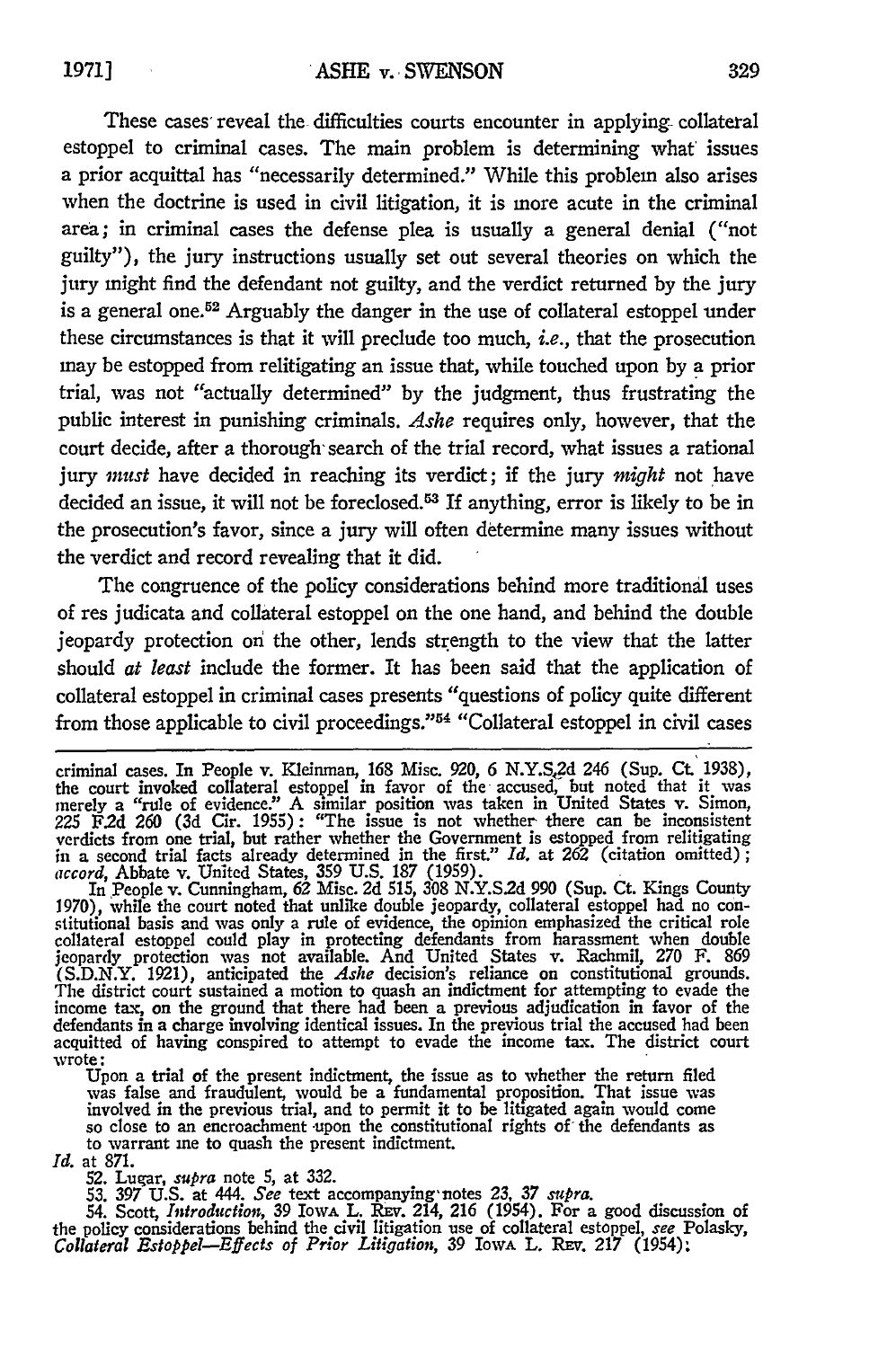These cases reveal the difficulties courts encounter in applying- collateral estoppel to criminal cases. The main problem is determining what issues a prior acquittal has "necessarily determined." While this problem also arises when the doctrine is used in civil litigation, it is more acute in the criminal area; in criminal cases the defense plea is usually a general denial ("not guilty"), the jury instructions usually set out several theories on which the jury might find the defendant not guilty, and the verdict returned by the jury is a general one.52 Arguably the danger in the use of collateral estoppel under these circumstances is that it will preclude too much, *i.e.*, that the prosecution may be estopped from relitigating an issue that, while touched upon by a prior trial, was not "actually determined" by the judgment, thus frustrating the public interest in punishing criminals. *Ashe* requires only, however, that the court decide, after a thorough search of the trial record, what issues a rational jury *must* have decided in reaching its verdict; if the jury *might* not have decided an issue, it will not be foreclosed.<sup>53</sup> If anything, error is likely to be in the prosecution's favor, since a jury will often determine many issues without the verdict and record revealing that it did.

The congruence of the policy considerations behind more traditional uses of res judicata and collateral estoppel on the one hand, and behind the double jeopardy protection on the other, lends strength to the view that the latter should *at least* include the former. It has been said that the application of collateral estoppel in criminal cases presents "questions of policy quite different from those applicable to civil proceedings."<sup>54</sup> "Collateral estoppel in civil cases

In People v. Cunningham, 62 Misc. 2d 515, 308 N.Y.S.2d 990 (Sup. Ct. Kings County 1970), while the court noted that unlike double jeopardy, collateral estoppel had no constitutional basis and was only a rule of evidence, the opinion emphasized the critical role collateral estoppel could play in protecting defendants from harassment when double jeopardy protection was not available. And United States v. Rachmil, 270 F. 869 (S.D.N.Y. 1921), anticipated the *Ashe* decision's reliance on constitutional grounds. The district court sustained a motion to quash an indictment for attempting to evade the income tax, on the ground that there had been a previous adjudication in favor of the defendants in a charge involving identical issues. In the previous trial the accused had been acquitted of having conspired to attempt to evade the income tax. The district court wrote:

wrote:<br>Upon a trial of the present indictment, the issue as to whether the return filed<br>was false and fraudulent, would be a fundamental proposition. That issue was<br>involved in the previous trial, and to permit it to be li

*Id.* at 871.

**52.** Lugar, *supra* note **5,** at **332.**

53. 397 U.S. at 444. See text accompanying notes 23, 37 supra.<br>54. Scott, *Introduction*, 39 Iowa L. Rev. 214, 216 (1954). For a good discussion of<br>the policy considerations behind the civil litigation use of collateral es

criminal cases. In People v. Kleinman, 168 Misc. 920, 6 N.Y.S.2d 246 (Sup. Ct. 1938)<br>the court invoked collateral estoppel in favor of the accused, but noted that it was<br>merely a "rule of evidence." A similar position was 225 F2d 260 **(3d** Cir. 1955): "The issue is not whether there can be inconsistent verdicts from one trial, but rather whether the Government is estopped from relitigating in a second trial facts already determined in the first." *Id.* at 262 (citation omitted); *accord,* Abbate v. United States, 359 U.S. 187 (1959).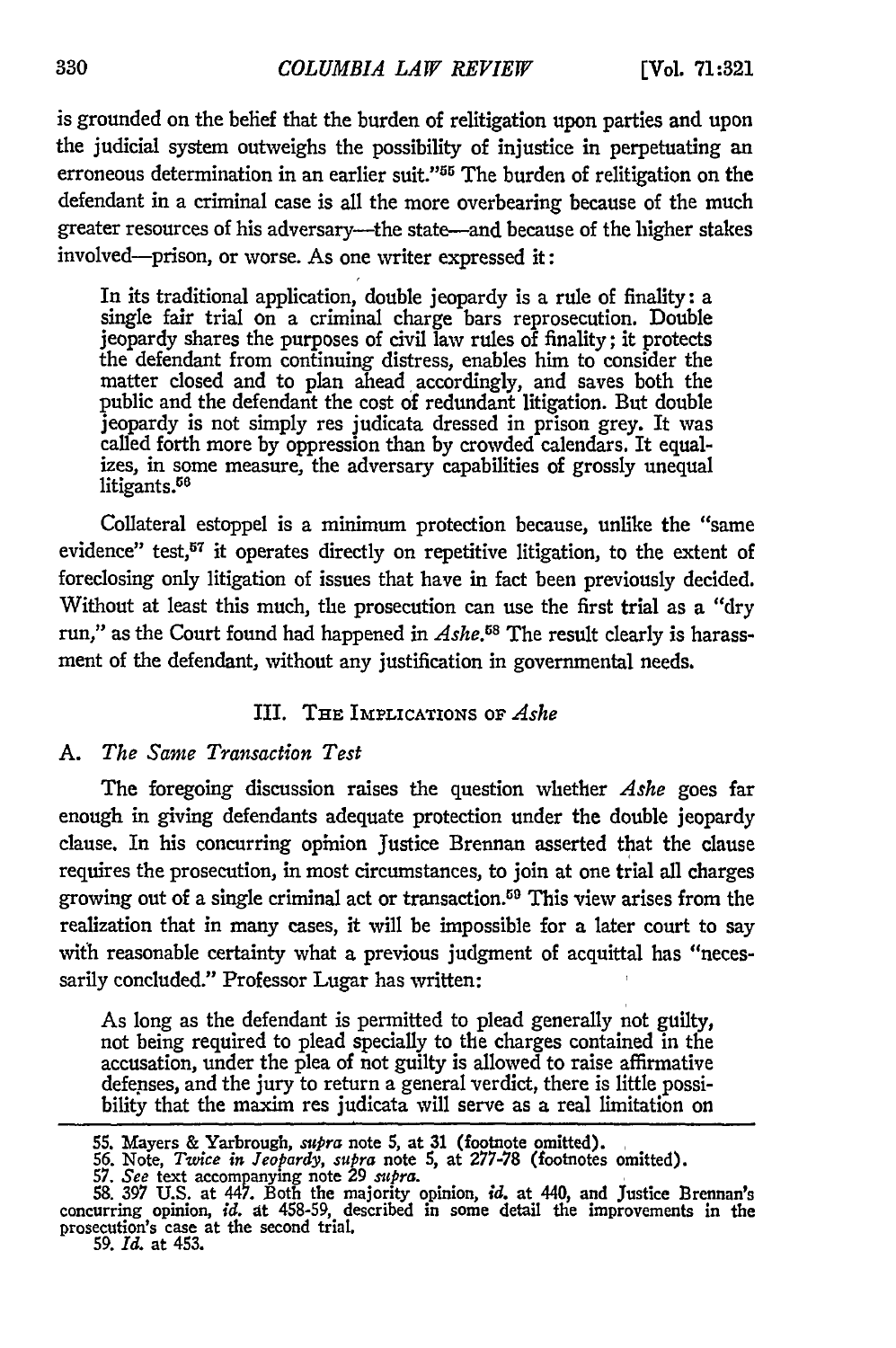is grounded on the belief that the burden of relitigation upon parties and upon the judicial system outweighs the possibility of injustice in perpetuating an erroneous determination in an earlier suit."<sup>55</sup> The burden of relitigation on the defendant in a criminal case is all the more overbearing because of the much greater resources of his adversary---the state-and because of the higher stakes involved-prison, or worse. As one writer expressed it:

In its traditional application, double jeopardy is a rule of finality: a single fair trial on a criminal charge bars reprosecution. Double jeopardy shares the purposes of civil law rules of finality; it protects the defendant from continuing distress, enables him to consider the matter closed and to plan ahead accordingly, and saves both the public and the defendant the cost **of** redundant litigation. But double jeopardy is not simply res judicata dressed in prison grey. It was izes, in some measure, the adversary capabilities of grossly unequal<br>litigants.<sup>56</sup>

Collateral estoppel is a minimum protection because, unlike the "same evidence" test,<sup>57</sup> it operates directly on repetitive litigation, to the extent of foreclosing only litigation of issues that have in fact been previously decided. Without at least this much, the prosecution can use the first trial as a "dry run," as the Court found had happened in *Ashe.58* The result clearly is harassment of the defendant, without any justification in governmental needs.

#### III. THE IMPLICATIONS OF *Ashe*

#### *A. The Same Transaction Test*

The foregoing discussion raises the question whether *Ashe* goes far enough in giving defendants adequate protection under the double jeopardy clause. In his concurring opinion Justice Brennan asserted that the clause requires the prosecution, in most circumstances, to join at one trial all charges growing out of a single criminal act or transaction.5O This view arises from the realization that in many cases, it will be impossible for a later court to say with reasonable certainty what a previous judgment of acquittal has "necessarily concluded." Professor Lugar has written:

As long as the defendant is permitted to plead generally not guilty, not being required to plead specially to the charges contained in the accusation, under the plea of not guilty is allowed to raise affirmative bility that the maxim res judicata will serve as a real limitation on

**<sup>55.</sup>** Mayers & Yarbrough, *supra* note **5,** at **31** (footnote omitted). **56.** Note, *Tice in Jeopardy, supra* note **5,** at **277-78** (footnotes omitted).

*<sup>57.</sup> See* text accompanying note 29 *siepra.* **58. 397 U.S.** at 447. Both the majority opinion, *id.* at 440, and Justice Brennan's concurring opinion, *id.* at **458-59,** described in some detail the improvements in the prosecution's case at the second trial.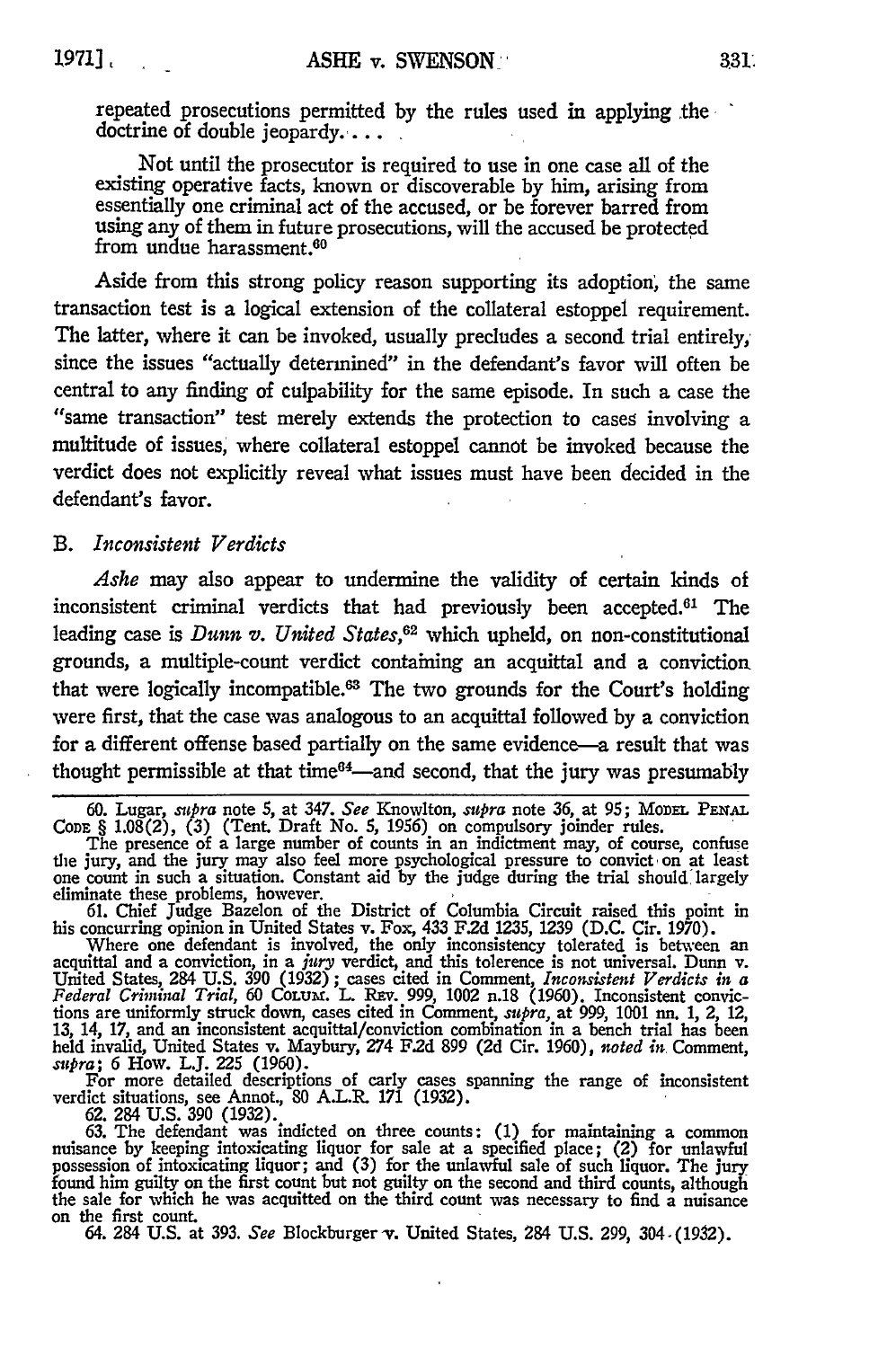repeated prosecutions permitted by the rules used in applying the doctrine of double jeopardy....

Not until the prosecutor is required to use in one case all of the existing operative facts, known or discoverable by him, arising from essentially one criminal act of the accused, or be forever barred from using any of them in future prosecutions, will the accused be protected<br>from undue harassment.<sup>60</sup>

Aside from this strong policy reason supporting its adoption, the same transaction test is a logical extension of the collateral estoppel requirement. The latter, where it can be invoked, usually precludes a second trial entirely, since the issues "actually determined" in the defendant's favor will often be central to any finding of culpability for the same episode. In such a case the "same transaction" test merely extends the protection to cases involving a multitude of issues, where collateral estoppel cannot be invoked because the verdict does not explicitly reveal what issues must have been decided in the defendant's favor.

#### *B. Inconsistent Verdicts*

*Ashe* may also appear to undermine the validity of certain kinds of inconsistent criminal verdicts that had previously been accepted.<sup>61</sup> The leading case is *Dunn v. United States,62* which upheld, on non-constitutional grounds, a multiple-count verdict containing an acquittal and a conviction that were logically incompatible.<sup>63</sup> The two grounds for the Court's holding were first, that the case was analogous to an acquittal followed by a conviction for a different offense based partially on the same evidence-a result that was thought permissible at that time $64$ —and second, that the jury was presumably

**61.** Chief Judge Bazelon of the District of Columbia Circuit raised this point in his concurring opinion in United States v. Fox, 433 **F2d 1235, 1239 (D.C.** Cir. **1970).**

Where one defendant is involved, the only inconsistency tolerated is between an acquittal and a conviction, in a *jury* verdict, and this tolerence is not universal. Dunn v. United States, 284 U.S. 390 (1932); cases cited tions are uniformly struck down, cases cited in Comment, *supra,* at 999, 1001 nn. **1,** 2, 12, **13,** 14, **17,** and an inconsistent acquittal/conviction combination in a bench trial has been held invalid, United States v. Maybury, 274 F.2d 899 (2d Cir. 1960), noted in Comment, supra; 6 How. L.J. 225 (1960). For more detailed descriptions of carly cases spanning the range of inconsistent

verdict situations, see Annot., **80** A.L.R. **171 (1932).**

**62.** 284 **U.S. 390** (1932). **63.** The defendant was indicted on three counts: **(1)** for maintaining a common nuisance **by** keeping intoxicating liquor for sale at a specified place; (2) for unlawful possession of intoxicating liquor; and (3) for the unlawful sale of such liquor. The jury<br>found him guilty on the first count but not guilty on the second and third counts, although<br>the sale for which he was acquitted on t 64. 284 **U.S.** at **393.** *See* Blockburger v. United States, 284 **U.S. 299,** 304.(1982).

**<sup>60.</sup>** Lugar, *supra* note 5, at 347. *See* Knowlton, *supra* note 36, at 95; **MoDEL PENAL**

Cone §  $1.08(2)$ , (3) (Tent. Draft No. 5, 1956) on compulsory joinder rules.<br>The presence of a large number of counts in an indictment may, of course, confuse<br>the jury and the jury may also feel more psychological pressur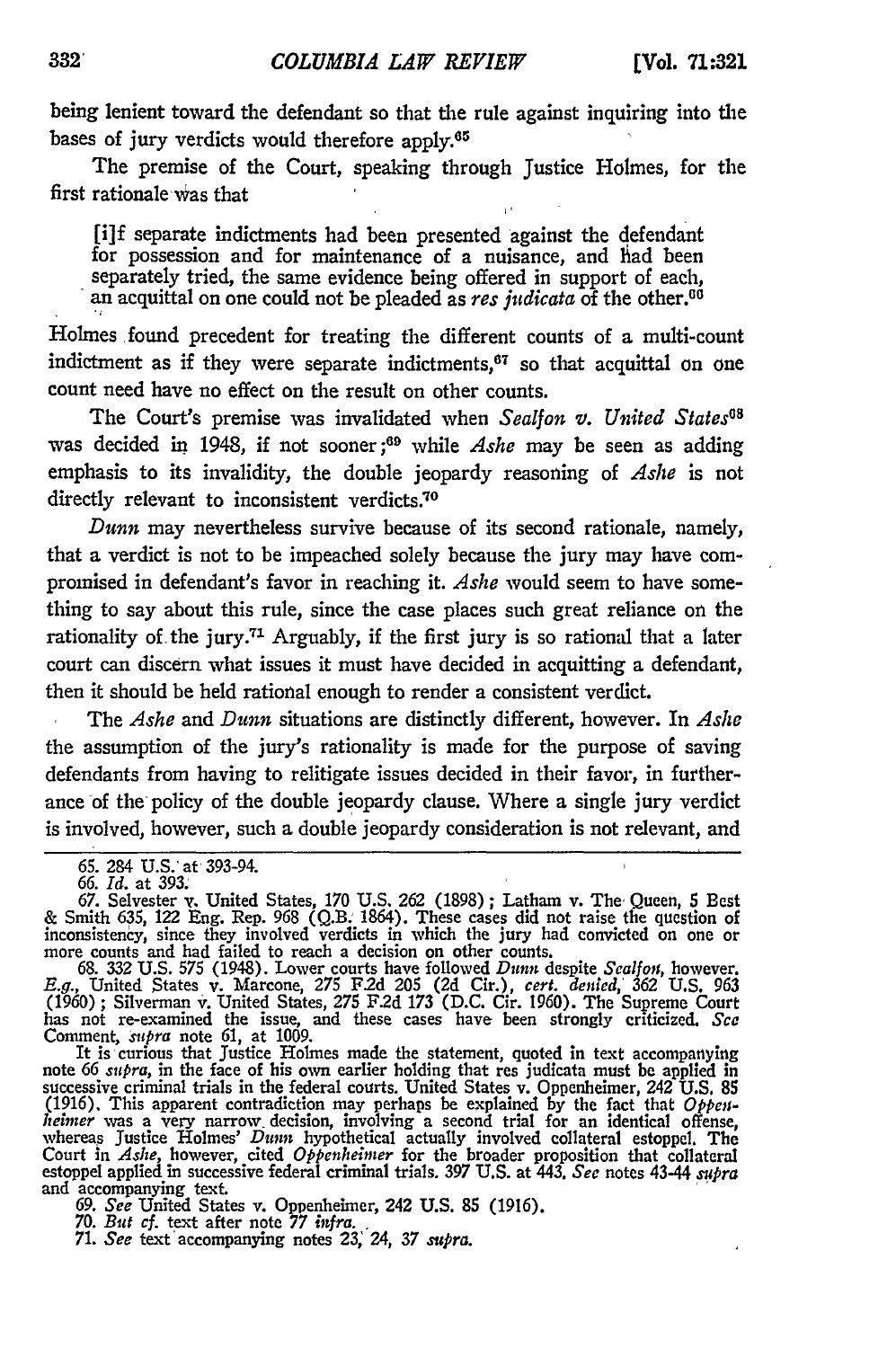being lenient toward the defendant so that the rule against inquiring into the bases of jury verdicts would therefore apply.<sup>65</sup>

The premise of the Court, speaking through Justice Holmes, for the first rationale was that

[i]f separate indictments had been presented against the defendant for possession and for maintenance of a nuisance, and fiad been separately tried, the same evidence being offered in support of each, an acquittal on one could not be pleaded as *res judicata* of the other. <sup>0</sup>

Holmes found precedent for treating the different counts of a multi-count indictment as if they were separate indictments, $67$  so that acquittal on one count need have no effect on the result on other counts.

The Court's premise was invalidated when *Sealfon v. United States"8* was decided in 1948, if not sooner;<sup>69</sup> while *Ashe* may be seen as adding emphasis to its invalidity, the double jeopardy reasoning of *Ashe* is not directly relevant to inconsistent verdicts.<sup>70</sup>

*Dunn* may nevertheless survive because of its second rationale, namely, that a verdict is not to be impeached solely because the jury may have compromised in defendant's favor in reaching it. *Ashe* would seem to have something to say about this rule, since the case places such great reliance on the rationality of the jury.71 Arguably, if the first jury is so rational that a later court can discern what issues it must have decided in acquitting a defendant, then it should be held rational enough to render a consistent verdict.

The *Ashe* and *Dunn* situations are distinctly different, however. In *Ashe* the assumption of the jury's rationality is made for the purpose of saving defendants from having to relitigate issues decided in their favor, in furtherance of the policy of the double jeopardy clause. Where a single jury verdict is involved, however, such a double jeopardy consideration is not relevant, and

67. Selvester v. United States, 170 U.S. 262 (1898) ; Latham v. The Queen, **5** Best & Smith 635, 122 Eng. Rep. **968** (Q.B. 1864). These cases did not raise the question of inconsistency, since they involved verdicts in which the jury had convicted on one or more counts and had failed to reach a decision on other counts.

68. 332 U.S. 575 (1948). Lower courts have followed Dunn despite Scalfon, however.<br>E.g., United States v. Marcone, 275 F.2d 205 (2d Cir.), cert. denied, 362 U.S. 963<br>(1960); Silverman v. United States, 275 F.2d 173 (D.C. C has not re-examined the issue, and these cases have been strongly criticized. See

Comment, *supra* note 61, at 1009.<br>It is curious that Justice Holmes made the statement, quoted in text accompanying<br>note 66 *supra*, in the face of his own earlier holding that res judicata must be applied in successive criminal trials in the federal courts. United States v. Oppenheimer, 242 U.S. 85 (1916). This apparent contradiction may perhaps be explained by the fact that  $Oppen$ -heimer was a very narrow decision, involving a whereas Justice Holmes' *Duwn* hypothetical actually involved collateral estoppel. The Court in *Ashe,* however, cited *Oppenheiner* for the broader proposition that collateral estoppel applied in successive federal criminal trials. 397 U.S. at 443. See notes 43-44 *supra* and accompanying text.

69. *See* United States v. Oppenheimer, 242 U.S. **85** (1916).

70. *But cf.* text after note 77 *infra. 71. See* text accompanying notes **23,** 24, 37 *supra.*

**<sup>65.</sup>** 284 U.S. at 393-94.

*<sup>66.</sup> Id.* at 393.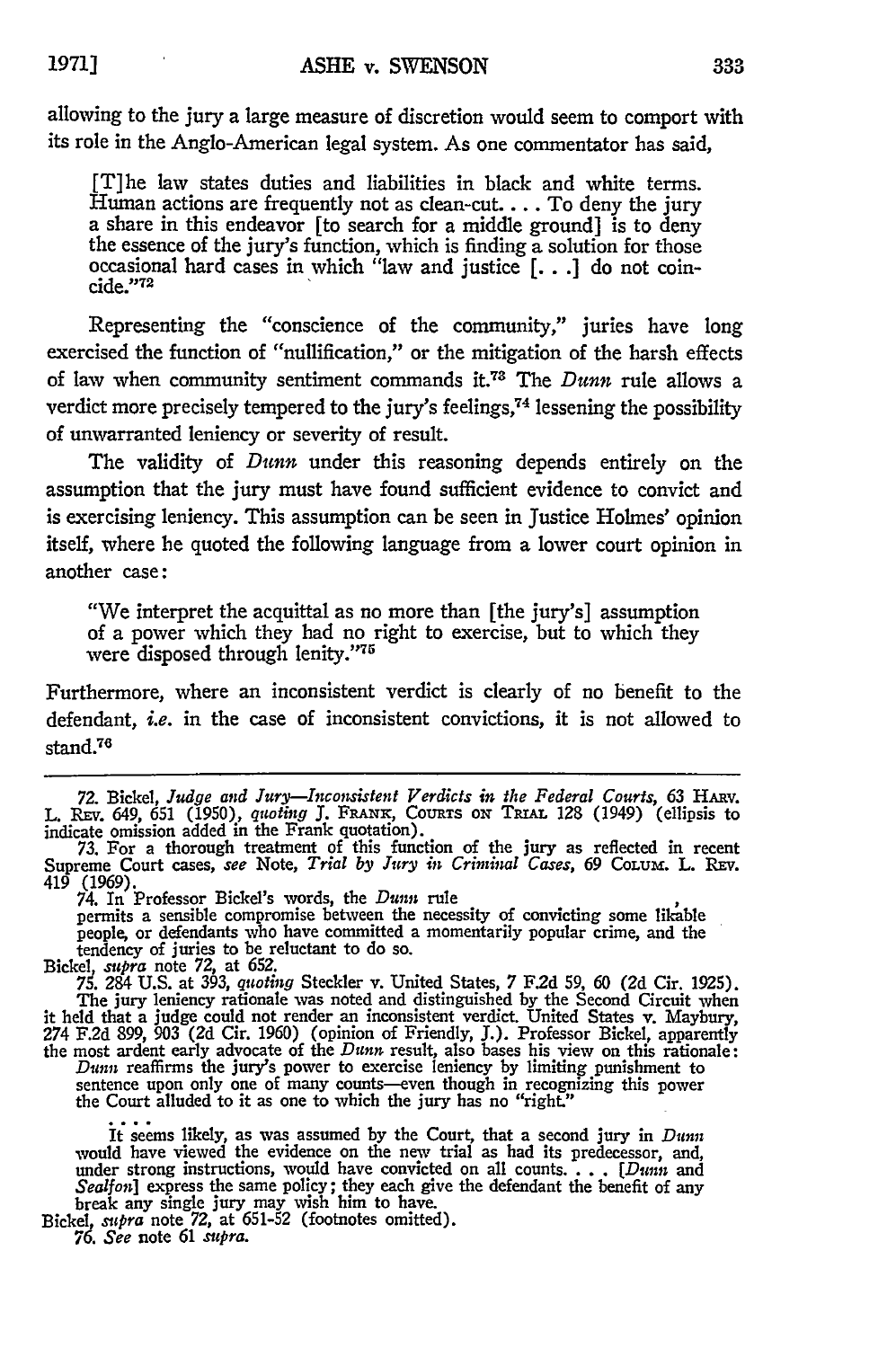allowing to the jury a large measure of discretion would seem to comport with its role in the Anglo-American legal system. As one commentator has said,

[T]he law states duties and liabilities in black and white terms. Human actions are frequently not as clean-cut.... To deny the jury a share in this endeavor [to search for a middle ground] is to deny the essence of the jury's function, which is finding a solution for those occasional hard cases in which "law and justice **[...]** do not coincide."<sup>72</sup>

Representing the "conscience of the community," juries have long exercised the function of "nullification," or the mitigation of the harsh effects of law when community sentiment commands it.<sup>73</sup> The *Dunn* rule allows a verdict more precisely tempered to the jury's feelings,<sup>74</sup> lessening the possibility of unwarranted leniency or severity of result.

The validity of *Dunn* under this reasoning depends entirely on the assumption that the jury must have found sufficient evidence to convict and is exercising leniency. This assumption can be seen in Justice Holmes' opinion itself, where he quoted the following language from a lower court opinion in another case:

"We interpret the acquittal as no more than [the jury's] assumption of a power which they had no right to exercise, but to which they were disposed through lenity."75

Furthermore, where an inconsistent verdict is clearly of no benefit to the defendant, *i.e.* in the case of inconsistent convictions, it is not allowed to  $stand.<sup>76</sup>$ 

permits a sensible compromise between the necessity of convicting some likable people, or defendants who have committed a momentarily popular crime, and the tendency of juries to be reluctant to do so. Bickel *supra* note *72,* at **652.**

**7 .**284 **U.S.** at **393,** *quoting* Steckler v. United States, **7 F.2d 59, 60 (2d** Cir. **1925).** The jury leniency rationale was noted and distinguished **by** the Second Circuit when it held that a judge could not render an inconsistent verdict, United States v. Maybury 274 F.2d 899, 903 (2d Cir. 1960) (opinion of Friendly, J.). Professor Bickel, apparently the most ardent early advocate of the *Dunn* the Court alluded to it as one to which the jury has no "right."

It seems likely, as was assumed **by** the Court, that a second jury in *Dunn.* would have viewed the evidence on the **new** trial as **had** its predecessor, and, under strong instructions, would have convicted on all counts **....** *(Dunn* and *Sealfon]* express the same policy; they each give the defendant the benefit of any break any single jury may wish him to have.

<sup>72.</sup> Bickel, *Judge and Jury-Inconsistent Verdicts in the Federal Courts*, 63 HARV.<br>L. REV. 649, 651 (1950), *quoting* J. FRANK, COURTS ON TRIAL 128 (1949) (ellipsis to indicate omission added in the Frank quotation).

<sup>73.</sup> For a thorough treatment of this function of the jury as reflected in recent Supreme Court cases, *see* Note, *Trial by Jury in Criminal Cases*, 69 Co<sub>LUM</sub>. L. REV. 419 (1969). 74. In Professor Bickel's words, the *Dunn* rule

Bickel, *supra* note *72,* at 651-52 (footnotes omitted). **76.** *See* note **61** *supra.*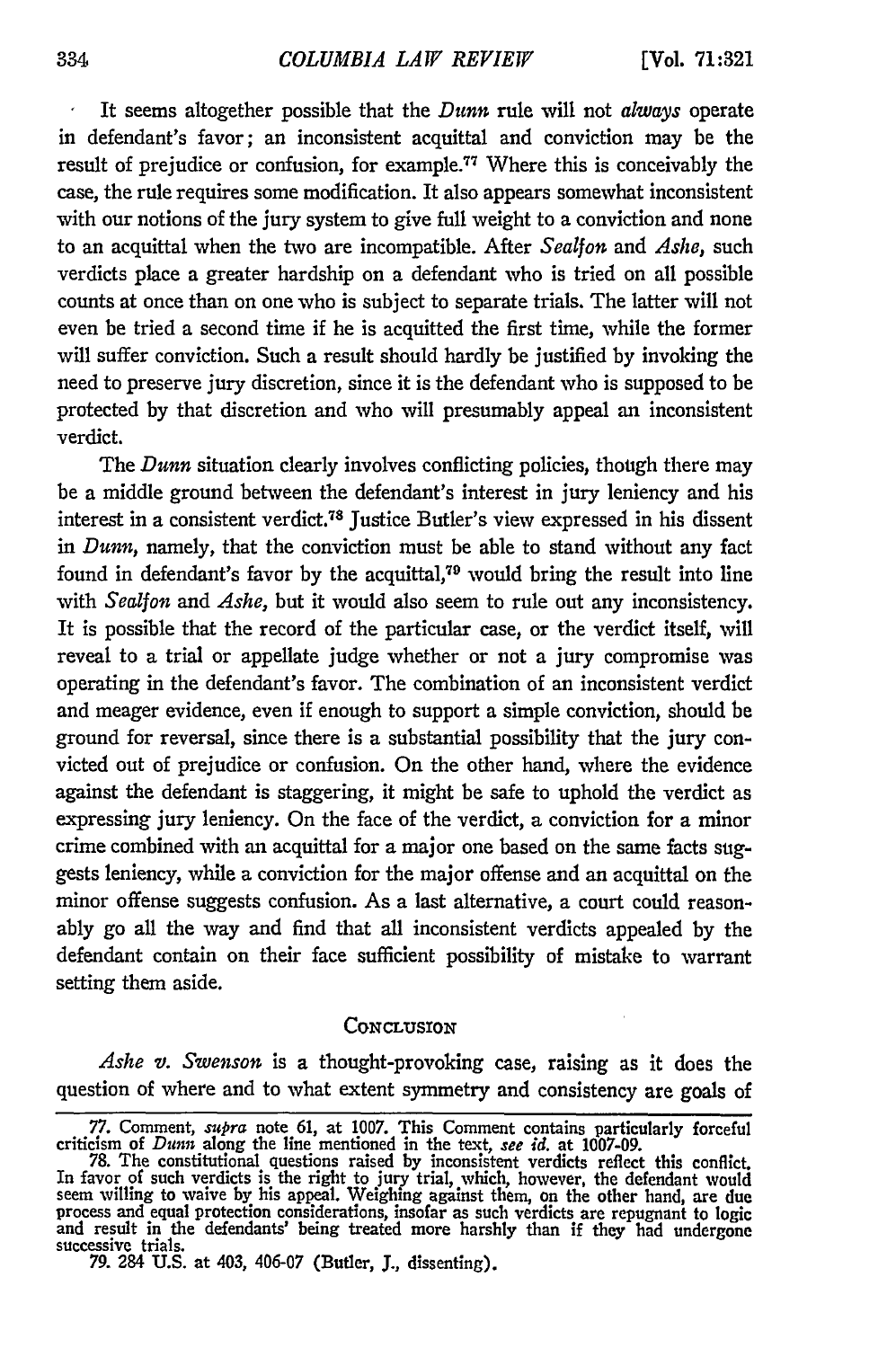It seems altogether possible that the *Dunn* rule will not *always* operate in defendant's favor; an inconsistent acquittal and conviction may be the result of prejudice or confusion, for example.77 Where this is conceivably the case, the rule requires some modification. It also appears somewhat inconsistent with our notions of the jury system to give full weight to a conviction and none to an acquittal when the two are incompatible. After *Sealfon* and *Ashe,* such verdicts place a greater hardship on a defendant who is tried on all possible counts at once than on one who is subject to separate trials. The latter will not even be tried a second time if he is acquitted the first time, while the former will suffer conviction. Such a result should hardly be justified by invoking the need to preserve jury discretion, since it is the defendant who is supposed to be protected by that discretion and who will presumably appeal an inconsistent verdict.

The *Dunn* situation clearly involves conflicting policies, though there may be a middle ground between the defendant's interest in jury leniency and his interest in a consistent verdict.75 Justice Butler's view expressed in his dissent in *Dunn,* namely, that the conviction must be able to stand without any fact found in defendant's favor by the acquittal,79 would bring the result into line with *Sealfon and Ashe,* but it would also seem to rule out any inconsistency. It is possible that the record of the particular case, or the verdict itself, will reveal to a trial or appellate judge whether or not a jury compromise was operating in the defendant's favor. The combination of an inconsistent verdict and meager evidence, even if enough to support a simple conviction, should be ground for reversal, since there is a substantial possibility that the jury convicted out of prejudice or confusion. On the other hand, where the evidence against the defendant is staggering, it might be safe to uphold the verdict as expressing jury leniency. On the face of the verdict, a conviction for a minor crime combined with an acquittal for a major one based on the same facts suggests leniency, while a conviction for the major offense and an acquittal on the minor offense suggests confusion. As a last alternative, a court could reasonably go all the way and find that all inconsistent verdicts appealed by the defendant contain on their face sufficient possibility of mistake to warrant setting them aside.

#### Conclusion

*Ashe v. Swenson* is a thought-provoking case, raising as it does the question of where and to what extent symmetry and consistency are goals of

<sup>77.</sup> Comment, *supra* note 61, at 1007. This Comment contains particularly forceful<br>criticism of *Dunn* along the line mentioned in the text, see id. at 1007-09.<br>78. The constitutional questions raised by inconsistent verd process and equal protection considerations, insofar as such verdicts are repugnant to logic and result in the defendants' being treated more harshly than if they had undergone successive trials.

<sup>79. 284</sup> U.S. at 403, 406-07 (Butler, **J.,** dissenting).